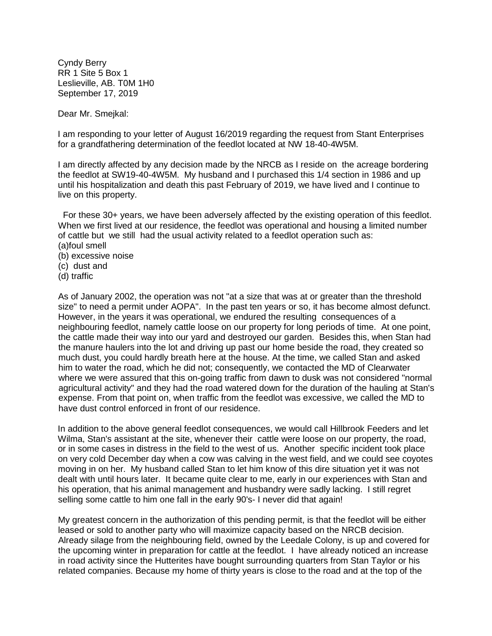Cyndy Berry RR 1 Site 5 Box 1 Leslieville, AB. T0M 1H0 September 17, 2019

Dear Mr. Smejkal:

I am responding to your letter of August 16/2019 regarding the request from Stant Enterprises for a grandfathering determination of the feedlot located at NW 18-40-4W5M.

I am directly affected by any decision made by the NRCB as I reside on the acreage bordering the feedlot at SW19-40-4W5M. My husband and I purchased this 1/4 section in 1986 and up until his hospitalization and death this past February of 2019, we have lived and I continue to live on this property.

 For these 30+ years, we have been adversely affected by the existing operation of this feedlot. When we first lived at our residence, the feedlot was operational and housing a limited number of cattle but we still had the usual activity related to a feedlot operation such as: (a)foul smell

- (b) excessive noise
- (c) dust and
- (d) traffic

As of January 2002, the operation was not "at a size that was at or greater than the threshold size" to need a permit under AOPA". In the past ten years or so, it has become almost defunct. However, in the years it was operational, we endured the resulting consequences of a neighbouring feedlot, namely cattle loose on our property for long periods of time. At one point, the cattle made their way into our yard and destroyed our garden. Besides this, when Stan had the manure haulers into the lot and driving up past our home beside the road, they created so much dust, you could hardly breath here at the house. At the time, we called Stan and asked him to water the road, which he did not; consequently, we contacted the MD of Clearwater where we were assured that this on-going traffic from dawn to dusk was not considered "normal agricultural activity" and they had the road watered down for the duration of the hauling at Stan's expense. From that point on, when traffic from the feedlot was excessive, we called the MD to have dust control enforced in front of our residence.

In addition to the above general feedlot consequences, we would call Hillbrook Feeders and let Wilma, Stan's assistant at the site, whenever their cattle were loose on our property, the road, or in some cases in distress in the field to the west of us. Another specific incident took place on very cold December day when a cow was calving in the west field, and we could see coyotes moving in on her. My husband called Stan to let him know of this dire situation yet it was not dealt with until hours later. It became quite clear to me, early in our experiences with Stan and his operation, that his animal management and husbandry were sadly lacking. I still regret selling some cattle to him one fall in the early 90's- I never did that again!

My greatest concern in the authorization of this pending permit, is that the feedlot will be either leased or sold to another party who will maximize capacity based on the NRCB decision. Already silage from the neighbouring field, owned by the Leedale Colony, is up and covered for the upcoming winter in preparation for cattle at the feedlot. I have already noticed an increase in road activity since the Hutterites have bought surrounding quarters from Stan Taylor or his related companies. Because my home of thirty years is close to the road and at the top of the